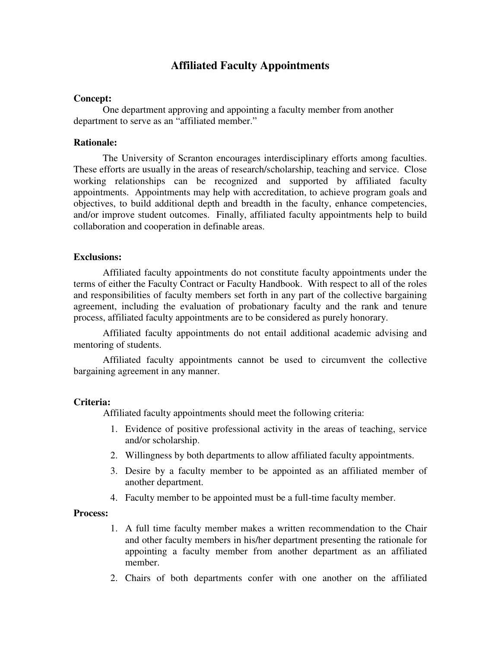# **Affiliated Faculty Appointments**

#### **Concept:**

One department approving and appointing a faculty member from another department to serve as an "affiliated member."

### **Rationale:**

The University of Scranton encourages interdisciplinary efforts among faculties. These efforts are usually in the areas of research/scholarship, teaching and service. Close working relationships can be recognized and supported by affiliated faculty appointments. Appointments may help with accreditation, to achieve program goals and objectives, to build additional depth and breadth in the faculty, enhance competencies, and/or improve student outcomes. Finally, affiliated faculty appointments help to build collaboration and cooperation in definable areas.

#### **Exclusions:**

Affiliated faculty appointments do not constitute faculty appointments under the terms of either the Faculty Contract or Faculty Handbook. With respect to all of the roles and responsibilities of faculty members set forth in any part of the collective bargaining agreement, including the evaluation of probationary faculty and the rank and tenure process, affiliated faculty appointments are to be considered as purely honorary.

Affiliated faculty appointments do not entail additional academic advising and mentoring of students.

Affiliated faculty appointments cannot be used to circumvent the collective bargaining agreement in any manner.

#### **Criteria:**

Affiliated faculty appointments should meet the following criteria:

- 1. Evidence of positive professional activity in the areas of teaching, service and/or scholarship.
- 2. Willingness by both departments to allow affiliated faculty appointments.
- 3. Desire by a faculty member to be appointed as an affiliated member of another department.
- 4. Faculty member to be appointed must be a full-time faculty member.

### **Process:**

- 1. A full time faculty member makes a written recommendation to the Chair and other faculty members in his/her department presenting the rationale for appointing a faculty member from another department as an affiliated member.
- 2. Chairs of both departments confer with one another on the affiliated